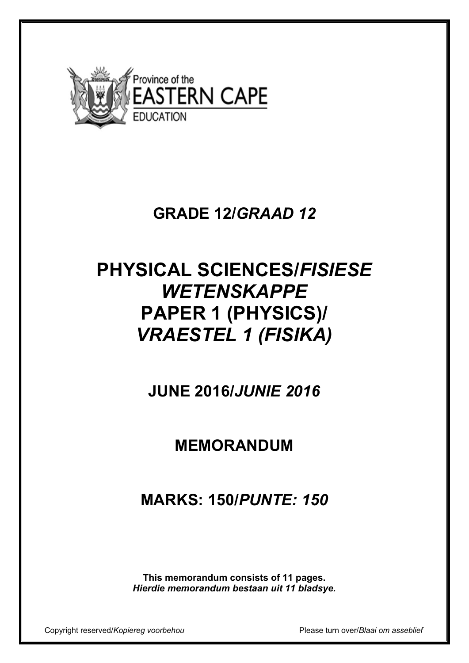

## **GRADE 12/***GRAAD 12*

# **PHYSICAL SCIENCES/***FISIESE WETENSKAPPE* **PAPER 1 (PHYSICS)/**  *VRAESTEL 1 (FISIKA)*

**JUNE 2016/***JUNIE 2016* 

## **MEMORANDUM**

**MARKS: 150/***PUNTE: 150* 

**This memorandum consists of 11 pages.**  *Hierdie memorandum bestaan uit 11 bladsye.* 

Copyright reserved/*Kopiereg voorbehou* Please turn over/*Blaai om asseblief*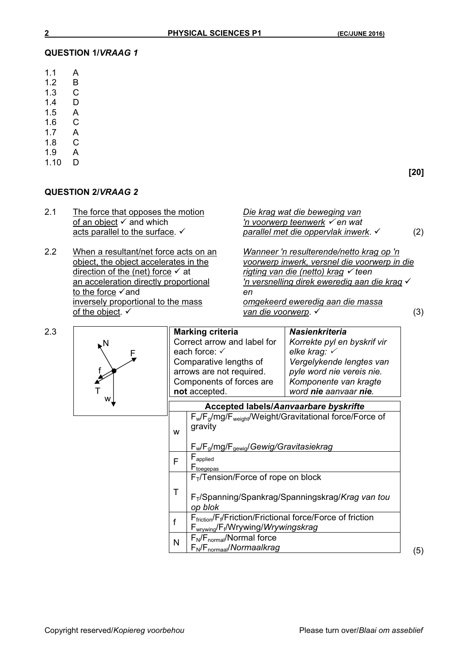#### **QUESTION 1/***VRAAG 1*

- 1.1 A<br>1.2 B
- 1.2 B<br>1.3 C
- 1.3  $C$ <br>1.4 D
- $1.4$
- 1.5 A
- 1.6 C
- 1.7 A<br>1.8 C  $1.8$
- 
- 1.9 A<br>1.10 D  $1.10$

### **[20]**

#### **QUESTION 2/***VRAAG 2*

| 2.1 | The force that opposes the motion<br>of an object $\checkmark$ and which<br>acts parallel to the surface. $\checkmark$ | Die krag wat die beweging van<br>'n voorwerp teenwerk $\checkmark$ en wat<br>parallel met die oppervlak inwerk. ✓ |  |
|-----|------------------------------------------------------------------------------------------------------------------------|-------------------------------------------------------------------------------------------------------------------|--|
| ററ  | When a requirent not force acto on an                                                                                  | 14/                                                                                                               |  |

direction of the (net) force  $\checkmark$  at *rigting van die (netto) krag*  $\checkmark$  teen an acceleration directly proportional *'n versnelling direk eweredig aan c* to the force <del>V</del> and<br>inversely proportional to the mass **end**<br>*en* of the object.  $\checkmark$  (3)

2.2 When a resultant/net force acts on an *Wanneer 'n resulterende/netto krag op 'n* object, the object accelerates in the *voorwerp inwerk, versnel die voorwerp in die* 'n versnelling direk eweredig aan die krag  $\checkmark$ omgekeerd eweredig aan die massa

(5)

| 2.3 |    |                                                      | <b>Marking criteria</b>                                                                                                                          | <b>Nasienkriteria</b>                                        |  |
|-----|----|------------------------------------------------------|--------------------------------------------------------------------------------------------------------------------------------------------------|--------------------------------------------------------------|--|
|     | ⊾N | Correct arrow and label for                          |                                                                                                                                                  | Korrekte pyl en byskrif vir                                  |  |
|     | F  | each force: $\checkmark$                             |                                                                                                                                                  | elke krag: $\checkmark$                                      |  |
|     |    |                                                      | Comparative lengths of                                                                                                                           | Vergelykende lengtes van                                     |  |
|     |    | arrows are not required.<br>Components of forces are |                                                                                                                                                  | pyle word nie vereis nie.                                    |  |
|     |    |                                                      |                                                                                                                                                  | Komponente van kragte                                        |  |
|     |    | not accepted.                                        |                                                                                                                                                  | word nie aanvaar nie.                                        |  |
|     | w  |                                                      | Accepted labels/Aanvaarbare byskrifte                                                                                                            |                                                              |  |
|     |    |                                                      | $F_w/F_q/mg/F_{weight}/Weight/Gravitational force/Force of$                                                                                      |                                                              |  |
|     |    | W                                                    | gravity                                                                                                                                          |                                                              |  |
|     |    |                                                      | $F_w/F_g/mg/F_{gewig}/Gewig/Gravitasiekrag$                                                                                                      |                                                              |  |
|     |    | F <sub>applied</sub><br>F                            |                                                                                                                                                  |                                                              |  |
|     |    |                                                      | $F_{toegepas}$                                                                                                                                   |                                                              |  |
|     |    |                                                      | $F_T$ /Tension/Force of rope on block                                                                                                            |                                                              |  |
|     |    | Τ                                                    | op blok                                                                                                                                          | F <sub>T</sub> /Spanning/Spankrag/Spanningskrag/Krag van tou |  |
|     |    | f                                                    | F <sub>friction</sub> /F <sub>f</sub> /Friction/Frictional force/Force of friction<br>$F_{\text{wrwing}}/F_f/\text{Wrywing}/\text{Wrywingskrag}$ |                                                              |  |
|     |    | N                                                    | $F_N/F_{normal}/Normal$ force<br>$F_N/F_{normal}/Normal$                                                                                         |                                                              |  |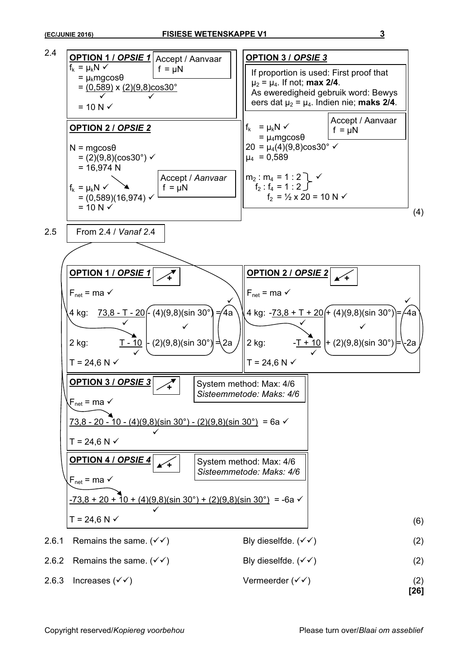

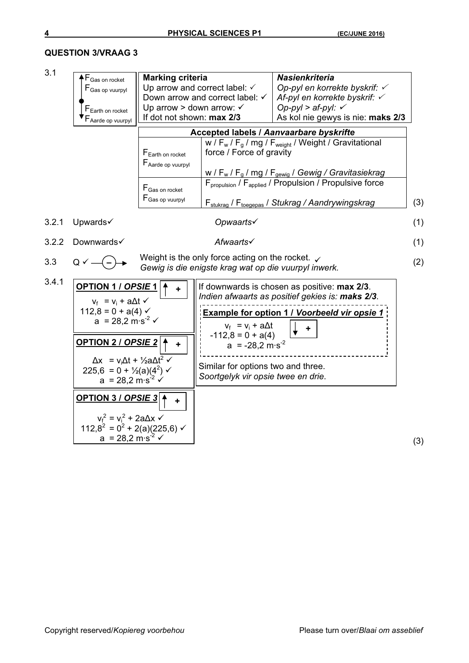#### **QUESTION 3/VRAAG 3**

3.1

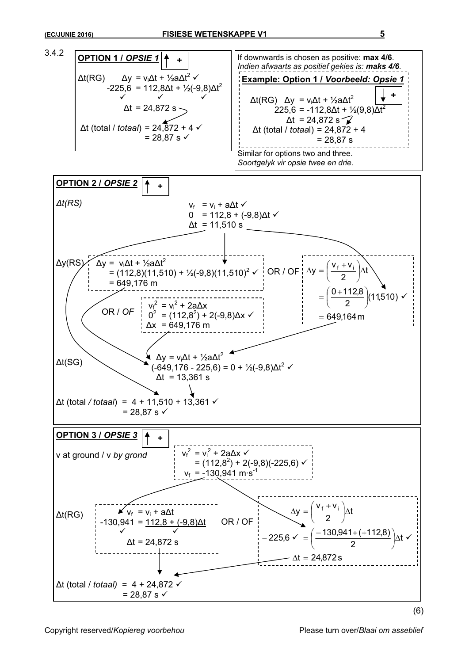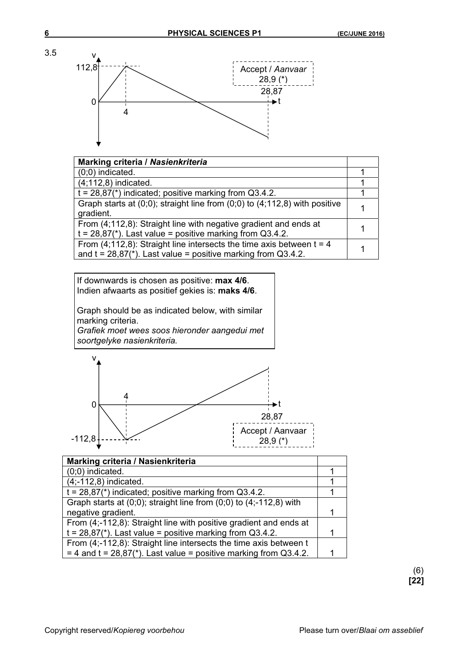

| <b>Marking criteria / Nasienkriteria</b>                                          |  |  |
|-----------------------------------------------------------------------------------|--|--|
| $(0,0)$ indicated.                                                                |  |  |
| $(4;112,8)$ indicated.                                                            |  |  |
| $t = 28.87$ <sup>*</sup> ) indicated; positive marking from Q3.4.2.               |  |  |
| Graph starts at $(0,0)$ ; straight line from $(0,0)$ to $(4,112,8)$ with positive |  |  |
| gradient.                                                                         |  |  |
| From (4;112,8): Straight line with negative gradient and ends at                  |  |  |
| $t = 28,87$ <sup>*</sup> ). Last value = positive marking from Q3.4.2.            |  |  |
| From (4;112,8): Straight line intersects the time axis between $t = 4$            |  |  |
| and $t = 28.87$ <sup>*</sup> ). Last value = positive marking from Q3.4.2.        |  |  |

If downwards is chosen as positive: **max 4/6**. Indien afwaarts as positief gekies is: **maks 4/6**.

Graph should be as indicated below, with similar marking criteria. *Grafiek moet wees soos hieronder aangedui met* 

*soortgelyke nasienkriteria.*



| Marking criteria / Nasienkriteria                                         |  |  |
|---------------------------------------------------------------------------|--|--|
| $(0,0)$ indicated.                                                        |  |  |
| $(4; -112, 8)$ indicated.                                                 |  |  |
| $t = 28,87*$ indicated; positive marking from Q3.4.2.                     |  |  |
| Graph starts at $(0,0)$ ; straight line from $(0,0)$ to $(4,-112,8)$ with |  |  |
| negative gradient.                                                        |  |  |
| From (4;-112,8): Straight line with positive gradient and ends at         |  |  |
| $t = 28,87$ <sup>*</sup> ). Last value = positive marking from Q3.4.2.    |  |  |
| From (4;-112,8): Straight line intersects the time axis between t         |  |  |
| $=$ 4 and t = 28,87(*). Last value = positive marking from Q3.4.2.        |  |  |

(6) **[22]**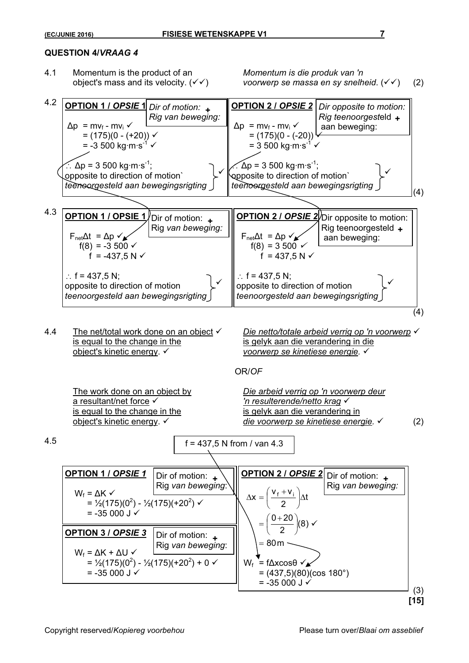#### **QUESTION 4/***VRAAG 4*

4.1 Momentum is the product of an *Momentum is die produk van 'n* 

object's mass and its velocity.  $(\checkmark)$  *voorwerp se massa en sy snelheid.*  $(\checkmark)$  (2)



| $W_f = \Delta K \checkmark$<br>= $\frac{1}{2}$ (175)(0 <sup>2</sup> ) - $\frac{1}{2}$ (175)(+20 <sup>2</sup> ) $\checkmark$<br>$= -35000 \text{ J}$ | Rig van beweging: $  $                                                                                    | $\Delta x = \left(\frac{v_f + v_i}{2}\right) \Delta t$<br>$v = \left(\frac{0+20}{2}\right)(8)$                                       | Rig van beweging: |
|-----------------------------------------------------------------------------------------------------------------------------------------------------|-----------------------------------------------------------------------------------------------------------|--------------------------------------------------------------------------------------------------------------------------------------|-------------------|
| <b>OPTION 3 / OPSIE 3</b><br>$W_f = \Delta K + \Delta U \checkmark$<br>$= -35000$ J $\checkmark$                                                    | Dir of motion:<br>Rig van beweging:<br>$= \frac{1}{2}(175)(0^2) - \frac{1}{2}(175)(+20^2) + 0 \checkmark$ | $= 80m$<br>= $f\Delta x \cos\theta \sqrt{\mathbf{x}}$<br>$W_{\rm f}$<br>$= (437,5)(80)(\cos 180^\circ)$<br>$= -35000$ J $\checkmark$ | (3)<br>[15]       |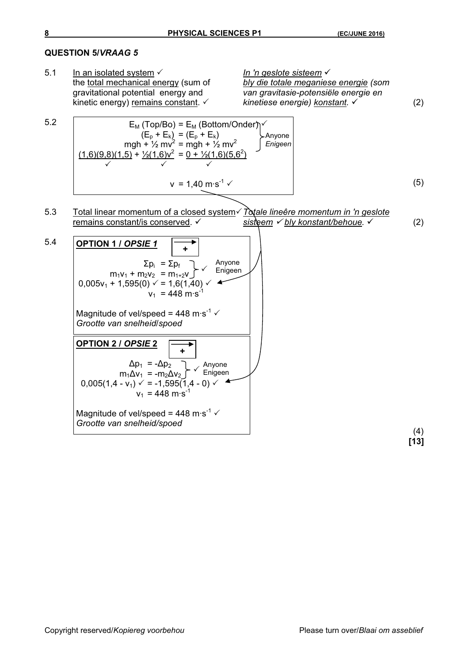#### **QUESTION 5/***VRAAG 5*

5.1 In an isolated system  $\checkmark$  *In 'n geslote sisteem*  $\checkmark$  the total mechanical energy (sum of *In 'n geslote sisteem* bly die totale meganiese energie (som gravitational potential energy and *van gravitasie-potensiële energie en*  kinetic energy) remains constant. <del>√</del> *kinetiese energie) konstant.* √ (2) 5.2  $v = 1,40 \text{ m} \cdot \text{s}^{-1} \checkmark$  (5) 5.3 Total linear momentum of a closed system v Dotale lineêre momentum in 'n geslote remains constant/is conserved. v sisteem  $\checkmark$  bly konstant/behoue.  $\checkmark$  (2) 5.4 (4) **[13]**  $\mathsf{E}_\mathsf{M}$  (Top/Bo) =  $\mathsf{E}_\mathsf{M}$  (Bottom/Onder) $\neg$  $(E_{p} + E_{k}) = (E_{p} + E_{k})$ mgh +  $\frac{1}{2}$  mv<sup>2</sup> = mgh +  $\frac{1}{2}$  mv<sup>2</sup>  $(1,6)(9,8)(1,5) + \frac{1}{2}(1,6)v^2 = 0 + \frac{1}{2}(1,6)(5,6^2)$ Anyone *Enigeen*  $\checkmark$  3  $\checkmark$ **OPTION 1 /** *OPSIE 1*  $\Sigma p_i = \Sigma p_f$  $m_1v_1 + m_2v_2 = m_{1+2}v$  $0,005v_1 + 1,595(0) \leq 1,6(1,40)$  $v_1$  = 448 m·s<sup>-1</sup> Magnitude of vel/speed = 448 m·s<sup>-1</sup>  $\checkmark$ *Grootte van snelheid*/*spoed* **+** Anyone **Enigeen OPTION 2 /** *OPSIE* **2**  $\Delta p_1$  =  $-\Delta p_2$  $m_1 \Delta v_1$  =  $-m_2 \Delta v_2$  $0,005(1,4 - v_1) \leq 1,595(1,4 - 0) \leq$  $v_1$  = 448 m $\cdot$ s<sup>-1</sup> Magnitude of vel/speed = 448 m·s<sup>-1</sup>  $\checkmark$ *Grootte van snelheid/spoed*  Anyone<br>Enigeen **+**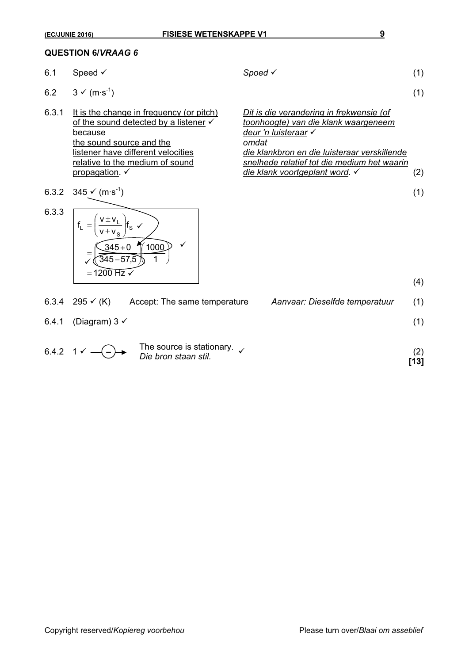#### **QUESTION 6/***VRAAG 6*

- 
- 6.2  $3 \checkmark$  (m·s<sup>-1</sup>) (1)
- 6.3.1 It is the change in frequency (or pitch) *Dit is die verandering in frekwensie (of* the sound source and the
- 6.3.2  $345 \checkmark$  (m·s<sup>-1</sup>) (1)

6.1 Speed  $\checkmark$  (1)

of the sound detected by a listener 9 *toonhoogte) van die klank waargeneem* deur 'n luisteraar *V*<br>omdat listener have different velocities *die klankbron en die luisteraar verskillende* snelhede relatief tot die medium het waarin propagation. 9 *die klank voortgeplant word*. 9 (2)

(4)



|       | 6.3.4 295 $\checkmark$ (K)   | Accept: The same temperature                             | Aanvaar: Dieselfde temperatuur | (1)         |
|-------|------------------------------|----------------------------------------------------------|--------------------------------|-------------|
| 6.4.1 | (Diagram) 3 $\checkmark$     |                                                          |                                | (1)         |
|       | 6.4.2 $1 \checkmark$ - - - - | The source is stationary.<br><i>Die bron staan stil.</i> |                                | (2)<br>[13] |

Copyright reserved/*Kopiereg voorbehou* Please turn over/*Blaai om asseblief*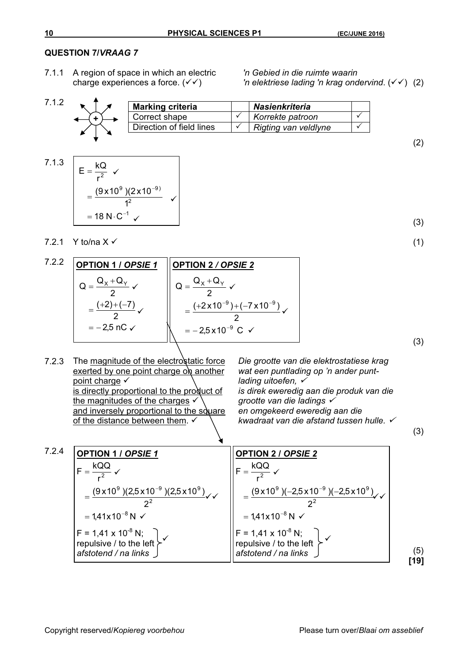#### **QUESTION 7/***VRAAG 7*

7.1.1 A region of space in which an electric *'n Gebied in die ruimte waarin* 

charge experiences a force.  $(\sqrt{\sqrt{}})$  *'n elektriese lading 'n krag ondervind.*  $(\sqrt{\sqrt{}})$  (2)

| 710 | <b>Marking criteria</b>  | <b>Nasienkriteria</b> |  |
|-----|--------------------------|-----------------------|--|
|     | Correct shape            | Korrekte patroon      |  |
|     | Direction of field lines | Rigting van veldlyne  |  |
|     |                          |                       |  |

**OPTION 2** */ OPSIE 2*

2  $Q = \frac{Q_{x} + Q}{2}$ 

 $=\frac{Q_{x}+Q_{y}}{Q_{y}}$ 

 $=$   $-$ 

 $x + \mathbf{w}_Y$ 

 $=\frac{(+2\times10^{-9})+(-1)^{2}}{2}$ 

2,5 x 10 $^{\circ}$  C

2  $(+2\times10^{-9})+(-7\times10^{-9})$ 

 $9117 - 7210 - 9$ 

 $\checkmark$ 

 $\checkmark$ 

 $-9$  )  $(7 \times 10^{-7})$ 

9

 $\checkmark$ 

<sup>-</sup>



**OPTION 1 /** *OPSIE 1*

2,5 nC 2  $(+2)+(-7)$ 2  $Q = \frac{Q_X + Q_Y}{2}$ 

 $\checkmark$ 

 $\checkmark$ 

 $\checkmark$ 

 $=\frac{(+2)+(-)}{2}$ 

 $=\frac{Q_{x}+Q_{y}}{Q_{y}}$ 

 $=$   $-$ 

7.2.1 Y to/na  $X \checkmark$ 

7.2.2

(3)

(2)

$$
(\mathbf{1})
$$

$$
\qquad \qquad (3)
$$

(3)

7.2.3 The magnitude of the electrostatic force exerted by one point charge on another point charge  $\checkmark$ is directly proportional to the product of the magnitudes of the charges  $\checkmark$ and inversely proportional to the square of the distance between them.  $\checkmark$ 

*Die grootte van die elektrostatiese krag wat een puntlading op 'n ander puntlading uitoefen,* <sup>9</sup> *is direk eweredig aan die produk van die grootte van die ladings* <sup>9</sup> *en omgekeerd eweredig aan die kwadraat van die afstand tussen hulle.* <sup>9</sup>

7.2.4 (5) **[19] OPTION 1 /** *OPSIE 1*  $F = 1,41 \times 10^{-8}$  N; repulsive / to the left *afstotend / na links*   $= 1,41x10^{-8}$  N  $\checkmark$ 2  $(9 \times 10^{9})$ (2,5 x 10<sup>-9</sup>)(2,5 x 10<sup>9</sup>) r  $F = \frac{kQQ}{r^2}$ 2  $9 \times 25 \times 10^{-9} \times 25 \times 10^{9}$ 2  $=\frac{(0.018)(0.018)(0.018)}{2^2}$  $=$  $\checkmark$  $\checkmark$ **OPTION 2 /** *OPSIE 2*  $F = 1,41 \times 10^{-8} N;$ repulsive / to the left *afstotend / na links*   $1,41\times10^{-8}$  N 2  $(9 \times 10^{9})$ (-2,5 x 10<sup>-9</sup>)(-2,5 x 10<sup>9</sup>) r  $F = \frac{kQQ}{r^2}$ 8 2  $9$   $\sqrt{25}$   $\sqrt{10^{-9}}$   $\sqrt{25}$   $\sqrt{10^9}$ -- $=$  $=\frac{(9\times10^{9})(-2.5\times10^{-9})(-2.5\times10^{-9})}{2}$  $\checkmark$  $\checkmark$  $\checkmark$